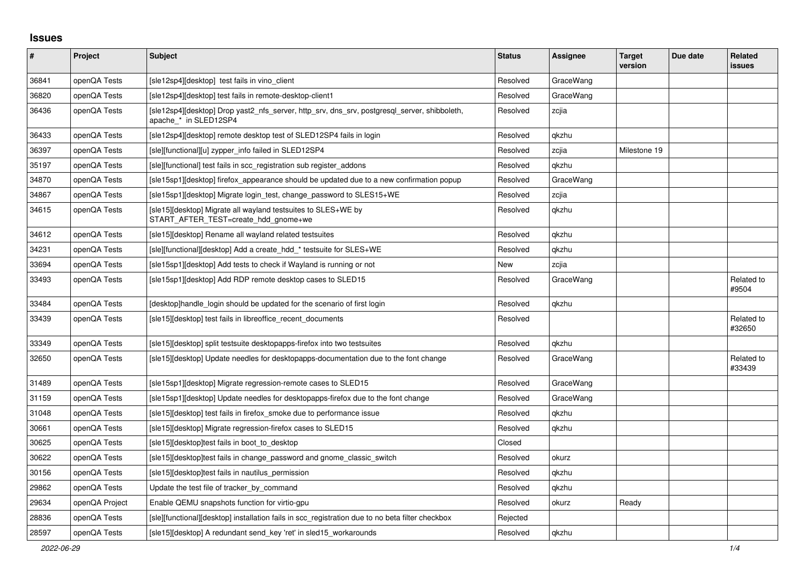## **Issues**

| #     | Project        | <b>Subject</b>                                                                                                        | <b>Status</b> | Assignee  | <b>Target</b><br>version | Due date | <b>Related</b><br><b>issues</b> |
|-------|----------------|-----------------------------------------------------------------------------------------------------------------------|---------------|-----------|--------------------------|----------|---------------------------------|
| 36841 | openQA Tests   | [sle12sp4][desktop] test fails in vino client                                                                         | Resolved      | GraceWang |                          |          |                                 |
| 36820 | openQA Tests   | [sle12sp4][desktop] test fails in remote-desktop-client1                                                              | Resolved      | GraceWang |                          |          |                                 |
| 36436 | openQA Tests   | [sle12sp4][desktop] Drop yast2 nfs server, http srv, dns srv, postgresql server, shibboleth,<br>apache_* in SLED12SP4 | Resolved      | zcjia     |                          |          |                                 |
| 36433 | openQA Tests   | [sle12sp4][desktop] remote desktop test of SLED12SP4 fails in login                                                   | Resolved      | qkzhu     |                          |          |                                 |
| 36397 | openQA Tests   | [sle][functional][u] zypper info failed in SLED12SP4                                                                  | Resolved      | zcjia     | Milestone 19             |          |                                 |
| 35197 | openQA Tests   | [sle][functional] test fails in scc registration sub register addons                                                  | Resolved      | qkzhu     |                          |          |                                 |
| 34870 | openQA Tests   | [sle15sp1][desktop] firefox appearance should be updated due to a new confirmation popup                              | Resolved      | GraceWang |                          |          |                                 |
| 34867 | openQA Tests   | [sle15sp1][desktop] Migrate login test, change password to SLES15+WE                                                  | Resolved      | zcjia     |                          |          |                                 |
| 34615 | openQA Tests   | [sle15][desktop] Migrate all wayland testsuites to SLES+WE by<br>START AFTER TEST=create hdd gnome+we                 | Resolved      | qkzhu     |                          |          |                                 |
| 34612 | openQA Tests   | [sle15][desktop] Rename all wayland related testsuites                                                                | Resolved      | qkzhu     |                          |          |                                 |
| 34231 | openQA Tests   | [sle][functional][desktop] Add a create hdd * testsuite for SLES+WE                                                   | Resolved      | qkzhu     |                          |          |                                 |
| 33694 | openQA Tests   | [sle15sp1] [desktop] Add tests to check if Wayland is running or not                                                  | New           | zcjia     |                          |          |                                 |
| 33493 | openQA Tests   | [sle15sp1][desktop] Add RDP remote desktop cases to SLED15                                                            | Resolved      | GraceWang |                          |          | Related to<br>#9504             |
| 33484 | openQA Tests   | [desktop]handle login should be updated for the scenario of first login                                               | Resolved      | qkzhu     |                          |          |                                 |
| 33439 | openQA Tests   | [sle15][desktop] test fails in libreoffice recent documents                                                           | Resolved      |           |                          |          | Related to<br>#32650            |
| 33349 | openQA Tests   | [sle15][desktop] split testsuite desktopapps-firefox into two testsuites                                              | Resolved      | qkzhu     |                          |          |                                 |
| 32650 | openQA Tests   | [sle15][desktop] Update needles for desktopapps-documentation due to the font change                                  | Resolved      | GraceWang |                          |          | Related to<br>#33439            |
| 31489 | openQA Tests   | [sle15sp1][desktop] Migrate regression-remote cases to SLED15                                                         | Resolved      | GraceWang |                          |          |                                 |
| 31159 | openQA Tests   | [sle15sp1][desktop] Update needles for desktopapps-firefox due to the font change                                     | Resolved      | GraceWang |                          |          |                                 |
| 31048 | openQA Tests   | [sle15][desktop] test fails in firefox smoke due to performance issue                                                 | Resolved      | qkzhu     |                          |          |                                 |
| 30661 | openQA Tests   | [sle15][desktop] Migrate regression-firefox cases to SLED15                                                           | Resolved      | qkzhu     |                          |          |                                 |
| 30625 | openQA Tests   | [sle15] [desktop] test fails in boot to desktop                                                                       | Closed        |           |                          |          |                                 |
| 30622 | openQA Tests   | [sle15][desktop]test fails in change password and gnome classic switch                                                | Resolved      | okurz     |                          |          |                                 |
| 30156 | openQA Tests   | [sle15][desktop]test fails in nautilus permission                                                                     | Resolved      | qkzhu     |                          |          |                                 |
| 29862 | openQA Tests   | Update the test file of tracker by command                                                                            | Resolved      | qkzhu     |                          |          |                                 |
| 29634 | openQA Project | Enable QEMU snapshots function for virtio-gpu                                                                         | Resolved      | okurz     | Ready                    |          |                                 |
| 28836 | openQA Tests   | [sle][functional][desktop] installation fails in scc_registration due to no beta filter checkbox                      | Rejected      |           |                          |          |                                 |
| 28597 | openQA Tests   | [sle15] [desktop] A redundant send key 'ret' in sled15 workarounds                                                    | Resolved      | gkzhu     |                          |          |                                 |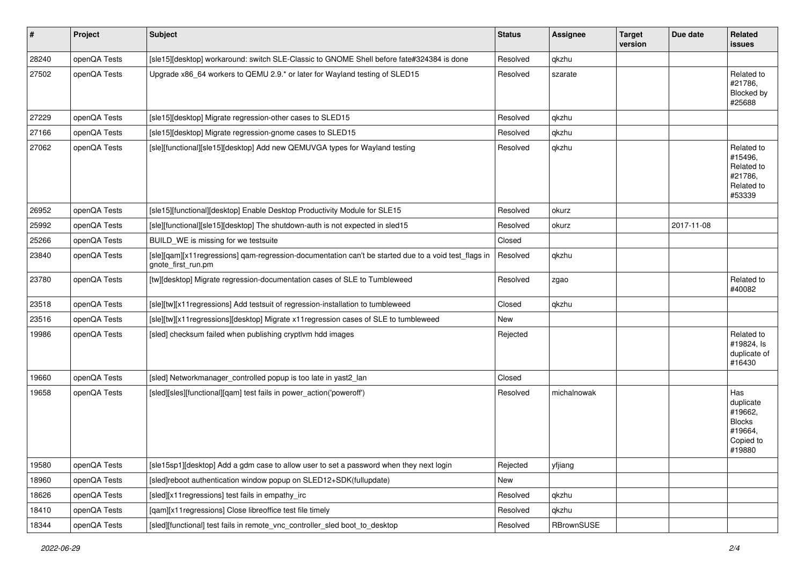| $\sharp$ | Project      | Subject                                                                                                                    | <b>Status</b> | <b>Assignee</b> | <b>Target</b><br>version | Due date   | Related<br><b>issues</b>                                                       |
|----------|--------------|----------------------------------------------------------------------------------------------------------------------------|---------------|-----------------|--------------------------|------------|--------------------------------------------------------------------------------|
| 28240    | openQA Tests | [sle15][desktop] workaround: switch SLE-Classic to GNOME Shell before fate#324384 is done                                  | Resolved      | qkzhu           |                          |            |                                                                                |
| 27502    | openQA Tests | Upgrade x86_64 workers to QEMU 2.9.* or later for Wayland testing of SLED15                                                | Resolved      | szarate         |                          |            | Related to<br>#21786,<br>Blocked by<br>#25688                                  |
| 27229    | openQA Tests | [sle15][desktop] Migrate regression-other cases to SLED15                                                                  | Resolved      | qkzhu           |                          |            |                                                                                |
| 27166    | openQA Tests | [sle15][desktop] Migrate regression-gnome cases to SLED15                                                                  | Resolved      | qkzhu           |                          |            |                                                                                |
| 27062    | openQA Tests | [sle][functional][sle15][desktop] Add new QEMUVGA types for Wayland testing                                                | Resolved      | qkzhu           |                          |            | Related to<br>#15496,<br>Related to<br>#21786,<br>Related to<br>#53339         |
| 26952    | openQA Tests | [sle15][functional][desktop] Enable Desktop Productivity Module for SLE15                                                  | Resolved      | okurz           |                          |            |                                                                                |
| 25992    | openQA Tests | [sle][functional][sle15][desktop] The shutdown-auth is not expected in sled15                                              | Resolved      | okurz           |                          | 2017-11-08 |                                                                                |
| 25266    | openQA Tests | BUILD WE is missing for we testsuite                                                                                       | Closed        |                 |                          |            |                                                                                |
| 23840    | openQA Tests | [sle][qam][x11regressions] qam-regression-documentation can't be started due to a void test_flags in<br>gnote_first_run.pm | Resolved      | qkzhu           |                          |            |                                                                                |
| 23780    | openQA Tests | [tw][desktop] Migrate regression-documentation cases of SLE to Tumbleweed                                                  | Resolved      | zgao            |                          |            | Related to<br>#40082                                                           |
| 23518    | openQA Tests | [sle][tw][x11 regressions] Add testsuit of regression-installation to tumbleweed                                           | Closed        | qkzhu           |                          |            |                                                                                |
| 23516    | openQA Tests | [sle][tw][x11regressions][desktop] Migrate x11regression cases of SLE to tumbleweed                                        | New           |                 |                          |            |                                                                                |
| 19986    | openQA Tests | [sled] checksum failed when publishing cryptlvm hdd images                                                                 | Rejected      |                 |                          |            | Related to<br>#19824, ls<br>duplicate of<br>#16430                             |
| 19660    | openQA Tests | [sled] Networkmanager_controlled popup is too late in yast2_lan                                                            | Closed        |                 |                          |            |                                                                                |
| 19658    | openQA Tests | [sled][sles][functional][qam] test fails in power_action('poweroff')                                                       | Resolved      | michalnowak     |                          |            | Has<br>duplicate<br>#19662,<br><b>Blocks</b><br>#19664,<br>Copied to<br>#19880 |
| 19580    | openQA Tests | [sle15sp1][desktop] Add a gdm case to allow user to set a password when they next login                                    | Rejected      | yfjiang         |                          |            |                                                                                |
| 18960    | openQA Tests | [sled]reboot authentication window popup on SLED12+SDK(fullupdate)                                                         | New           |                 |                          |            |                                                                                |
| 18626    | openQA Tests | [sled][x11regressions] test fails in empathy_irc                                                                           | Resolved      | qkzhu           |                          |            |                                                                                |
| 18410    | openQA Tests | [qam][x11regressions] Close libreoffice test file timely                                                                   | Resolved      | qkzhu           |                          |            |                                                                                |
| 18344    | openQA Tests | [sled][functional] test fails in remote_vnc_controller_sled boot_to_desktop                                                | Resolved      | RBrownSUSE      |                          |            |                                                                                |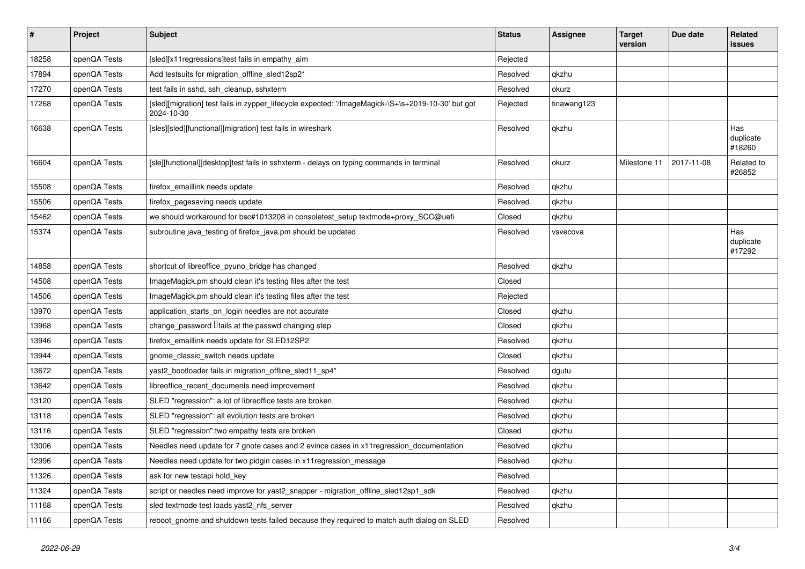| $\sharp$ | Project      | <b>Subject</b>                                                                                                   | <b>Status</b> | <b>Assignee</b> | <b>Target</b><br>version | Due date   | <b>Related</b><br><b>issues</b> |
|----------|--------------|------------------------------------------------------------------------------------------------------------------|---------------|-----------------|--------------------------|------------|---------------------------------|
| 18258    | openQA Tests | [sled][x11regressions]test fails in empathy_aim                                                                  | Rejected      |                 |                          |            |                                 |
| 17894    | openQA Tests | Add testsuits for migration_offline_sled12sp2*                                                                   | Resolved      | qkzhu           |                          |            |                                 |
| 17270    | openQA Tests | test fails in sshd, ssh cleanup, sshxterm                                                                        | Resolved      | okurz           |                          |            |                                 |
| 17268    | openQA Tests | [sled][migration] test fails in zypper_lifecycle expected: '/ImageMagick-\S+\s+2019-10-30' but got<br>2024-10-30 | Rejected      | tinawang123     |                          |            |                                 |
| 16638    | openQA Tests | [sles][sled][functional][migration] test fails in wireshark                                                      | Resolved      | qkzhu           |                          |            | Has<br>duplicate<br>#18260      |
| 16604    | openQA Tests | [sle][functional][desktop]test fails in sshxterm - delays on typing commands in terminal                         | Resolved      | okurz           | Milestone 11             | 2017-11-08 | Related to<br>#26852            |
| 15508    | openQA Tests | firefox_emaillink needs update                                                                                   | Resolved      | qkzhu           |                          |            |                                 |
| 15506    | openQA Tests | firefox_pagesaving needs update                                                                                  | Resolved      | qkzhu           |                          |            |                                 |
| 15462    | openQA Tests | we should workaround for bsc#1013208 in consoletest_setup textmode+proxy_SCC@uefi                                | Closed        | qkzhu           |                          |            |                                 |
| 15374    | openQA Tests | subroutine java_testing of firefox_java.pm should be updated                                                     | Resolved      | vsvecova        |                          |            | Has<br>duplicate<br>#17292      |
| 14858    | openQA Tests | shortcut of libreoffice_pyuno_bridge has changed                                                                 | Resolved      | qkzhu           |                          |            |                                 |
| 14508    | openQA Tests | ImageMagick.pm should clean it's testing files after the test                                                    | Closed        |                 |                          |            |                                 |
| 14506    | openQA Tests | ImageMagick.pm should clean it's testing files after the test                                                    | Rejected      |                 |                          |            |                                 |
| 13970    | openQA Tests | application_starts_on_login needles are not accurate                                                             | Closed        | qkzhu           |                          |            |                                 |
| 13968    | openQA Tests | change password $\Box$ fails at the passwd changing step                                                         | Closed        | qkzhu           |                          |            |                                 |
| 13946    | openQA Tests | firefox_emaillink needs update for SLED12SP2                                                                     | Resolved      | qkzhu           |                          |            |                                 |
| 13944    | openQA Tests | gnome_classic_switch needs update                                                                                | Closed        | qkzhu           |                          |            |                                 |
| 13672    | openQA Tests | yast2_bootloader fails in migration_offline_sled11_sp4*                                                          | Resolved      | dgutu           |                          |            |                                 |
| 13642    | openQA Tests | libreoffice_recent_documents need improvement                                                                    | Resolved      | qkzhu           |                          |            |                                 |
| 13120    | openQA Tests | SLED "regression": a lot of libreoffice tests are broken                                                         | Resolved      | qkzhu           |                          |            |                                 |
| 13118    | openQA Tests | SLED "regression": all evolution tests are broken                                                                | Resolved      | qkzhu           |                          |            |                                 |
| 13116    | openQA Tests | SLED "regression": two empathy tests are broken                                                                  | Closed        | qkzhu           |                          |            |                                 |
| 13006    | openQA Tests | Needles need update for 7 gnote cases and 2 evince cases in x11 regression_documentation                         | Resolved      | qkzhu           |                          |            |                                 |
| 12996    | openQA Tests | Needles need update for two pidgin cases in x11 regression message                                               | Resolved      | qkzhu           |                          |            |                                 |
| 11326    | openQA Tests | ask for new testapi hold_key                                                                                     | Resolved      |                 |                          |            |                                 |
| 11324    | openQA Tests | script or needles need improve for yast2_snapper - migration_offline_sled12sp1_sdk                               | Resolved      | qkzhu           |                          |            |                                 |
| 11168    | openQA Tests | sled textmode test loads yast2_nfs_server                                                                        | Resolved      | qkzhu           |                          |            |                                 |
| 11166    | openQA Tests | reboot_gnome and shutdown tests failed because they required to match auth dialog on SLED                        | Resolved      |                 |                          |            |                                 |